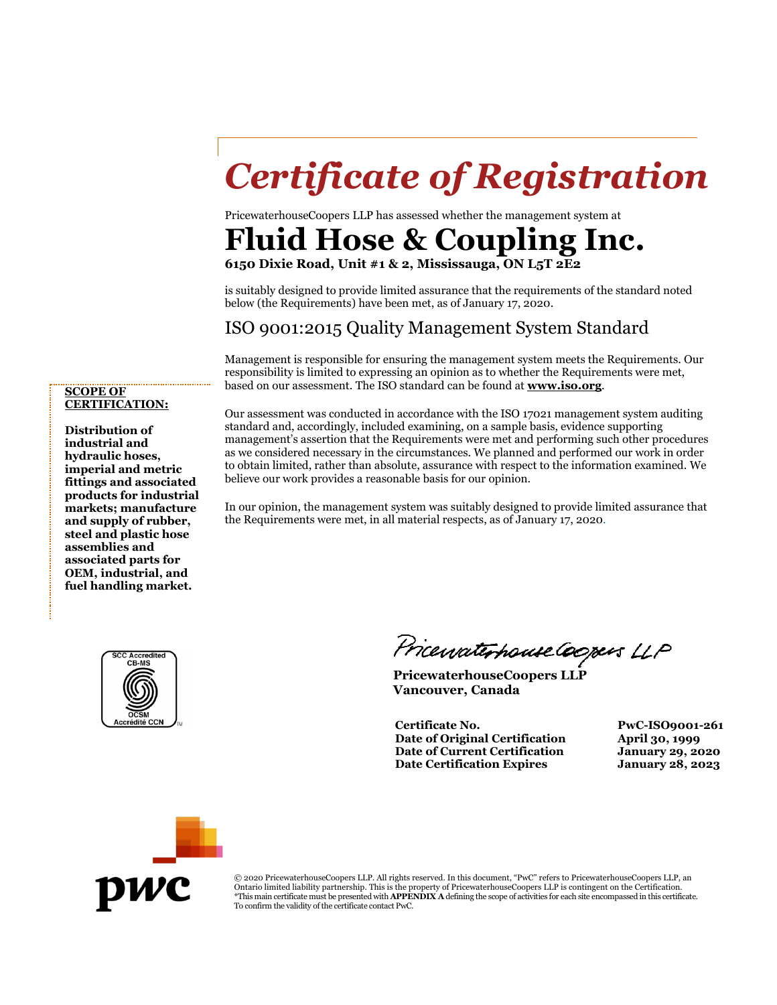# *Certificate of Registration*

PricewaterhouseCoopers LLP has assessed whether the management system at

### **Fluid Hose & Coupling Inc.**

**6150 Dixie Road, Unit #1 & 2, Mississauga, ON L5T 2E2**

is suitably designed to provide limited assurance that the requirements of the standard noted below (the Requirements) have been met, as of January 17, 2020.

### ISO 9001:2015 Quality Management System Standard

Management is responsible for ensuring the management system meets the Requirements. Our responsibility is limited to expressing an opinion as to whether the Requirements were met, based on our assessment. The ISO standard can be found at **[www.iso.org](http://www.iso.org/)**.

#### **SCOPE OF CERTIFICATION:**

**Distribution of industrial and hydraulic hoses, imperial and metric fittings and associated products for industrial markets; manufacture and supply of rubber, steel and plastic hose assemblies and associated parts for OEM, industrial, and fuel handling market.**

Our assessment was conducted in accordance with the ISO 17021 management system auditing standard and, accordingly, included examining, on a sample basis, evidence supporting management's assertion that the Requirements were met and performing such other procedures as we considered necessary in the circumstances. We planned and performed our work in order to obtain limited, rather than absolute, assurance with respect to the information examined. We believe our work provides a reasonable basis for our opinion.

In our opinion, the management system was suitably designed to provide limited assurance that the Requirements were met, in all material respects, as of January 17, 2020.



PricewaterhouseCoopers LLP

**PricewaterhouseCoopers LLP Vancouver, Canada**

**Certificate No. PwC-ISO9001-261 Date of Original Certification April 30, 1999 Date of Current Certification January 29, 2020 Date Certification Expires January 28, 2023**



© 2020 PricewaterhouseCoopers LLP. All rights reserved. In this document, "PwC" refers to PricewaterhouseCoopers LLP, an Ontario limited liability partnership. This is the property of PricewaterhouseCoopers LLP is contingent on the Certification. \*This main certificate must be presented with **APPENDIX A** defining the scope of activities for each site encompassed in this certificate. To confirm the validity of the certificate contact PwC.